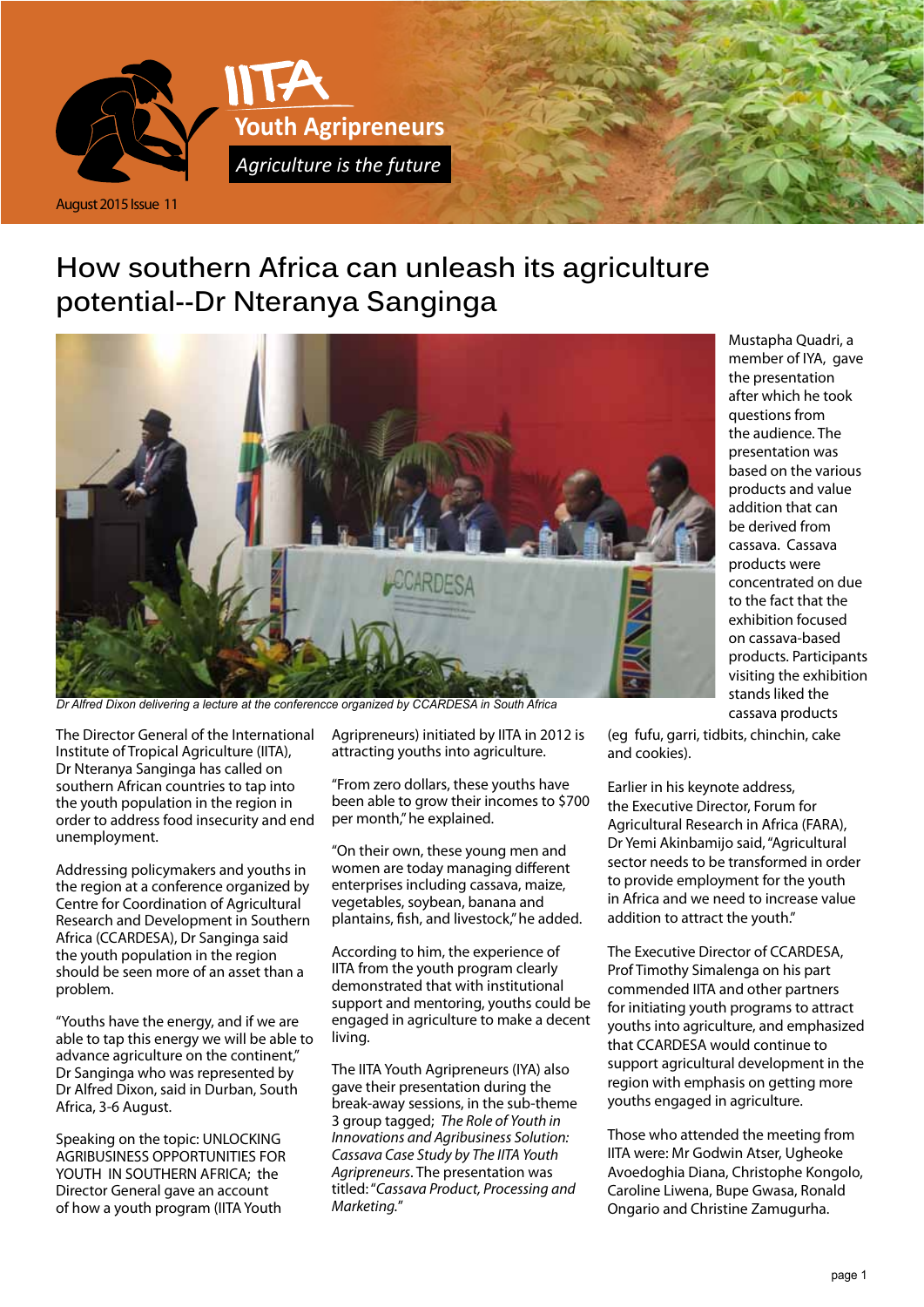

## **How southern Africa can unleash its agriculture potential--Dr Nteranya Sanginga**



*Dr Alfred Dixon delivering a lecture at the conferencce organized by CCARDESA in South Africa*

The Director General of the International Institute of Tropical Agriculture (IITA), Dr Nteranya Sanginga has called on southern African countries to tap into the youth population in the region in order to address food insecurity and end unemployment.

Addressing policymakers and youths in the region at a conference organized by Centre for Coordination of Agricultural Research and Development in Southern Africa (CCARDESA), Dr Sanginga said the youth population in the region should be seen more of an asset than a problem.

"Youths have the energy, and if we are able to tap this energy we will be able to advance agriculture on the continent," Dr Sanginga who was represented by Dr Alfred Dixon, said in Durban, South Africa, 3-6 August.

Speaking on the topic: UNLOCKING AGRIBUSINESS OPPORTUNITIES FOR YOUTH IN SOUTHERN AFRICA; the Director General gave an account of how a youth program (IITA Youth

Agripreneurs) initiated by IITA in 2012 is attracting youths into agriculture.

"From zero dollars, these youths have been able to grow their incomes to \$700 per month," he explained.

"On their own, these young men and women are today managing different enterprises including cassava, maize, vegetables, soybean, banana and plantains, fish, and livestock," he added.

According to him, the experience of IITA from the youth program clearly demonstrated that with institutional support and mentoring, youths could be engaged in agriculture to make a decent living.

The IITA Youth Agripreneurs (IYA) also gave their presentation during the break-away sessions, in the sub-theme 3 group tagged; *The Role of Youth in Innovations and Agribusiness Solution: Cassava Case Study by The IITA Youth Agripreneurs*. The presentation was titled: "*Cassava Product, Processing and Marketing.*"

Mustapha Quadri, a member of IYA, gave the presentation after which he took questions from the audience. The presentation was based on the various products and value addition that can be derived from cassava. Cassava products were concentrated on due to the fact that the exhibition focused on cassava-based products. Participants visiting the exhibition stands liked the cassava products

(eg fufu, garri, tidbits, chinchin, cake and cookies).

Earlier in his keynote address, the Executive Director, Forum for Agricultural Research in Africa (FARA), Dr Yemi Akinbamijo said, "Agricultural sector needs to be transformed in order to provide employment for the youth in Africa and we need to increase value addition to attract the youth."

The Executive Director of CCARDESA, Prof Timothy Simalenga on his part commended IITA and other partners for initiating youth programs to attract youths into agriculture, and emphasized that CCARDESA would continue to support agricultural development in the region with emphasis on getting more youths engaged in agriculture.

Those who attended the meeting from IITA were: Mr Godwin Atser, Ugheoke Avoedoghia Diana, Christophe Kongolo, Caroline Liwena, Bupe Gwasa, Ronald Ongario and Christine Zamugurha.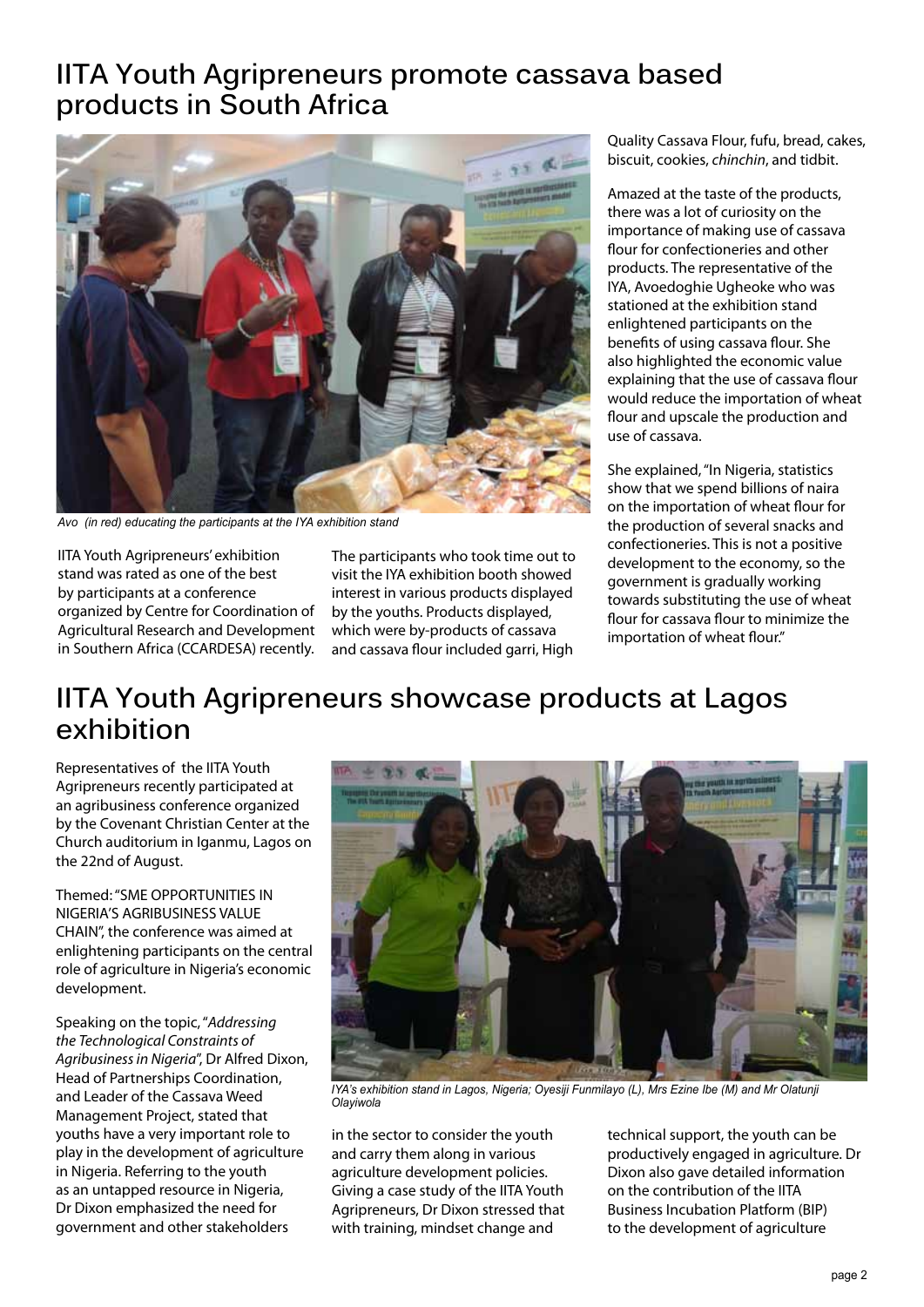## **IITA Youth Agripreneurs promote cassava based products in South Africa**



*Avo (in red) educating the participants at the IYA exhibition stand*

IITA Youth Agripreneurs' exhibition stand was rated as one of the best by participants at a conference organized by Centre for Coordination of Agricultural Research and Development in Southern Africa (CCARDESA) recently. The participants who took time out to visit the IYA exhibition booth showed interest in various products displayed by the youths. Products displayed, which were by-products of cassava and cassava flour included garri, High

Quality Cassava Flour, fufu, bread, cakes, biscuit, cookies, *chinchin*, and tidbit.

Amazed at the taste of the products, there was a lot of curiosity on the importance of making use of cassava flour for confectioneries and other products. The representative of the IYA, Avoedoghie Ugheoke who was stationed at the exhibition stand enlightened participants on the benefits of using cassava flour. She also highlighted the economic value explaining that the use of cassava flour would reduce the importation of wheat flour and upscale the production and use of cassava.

She explained, "In Nigeria, statistics show that we spend billions of naira on the importation of wheat flour for the production of several snacks and confectioneries. This is not a positive development to the economy, so the government is gradually working towards substituting the use of wheat flour for cassava flour to minimize the importation of wheat flour."

# **IITA Youth Agripreneurs showcase products at Lagos exhibition**

Representatives of the IITA Youth Agripreneurs recently participated at an agribusiness conference organized by the Covenant Christian Center at the Church auditorium in Iganmu, Lagos on the 22nd of August.

Themed: "SME OPPORTUNITIES IN NIGERIA'S AGRIBUSINESS VALUE CHAIN", the conference was aimed at enlightening participants on the central role of agriculture in Nigeria's economic development.

Speaking on the topic, "*Addressing the Technological Constraints of Agribusiness in Nigeria*", Dr Alfred Dixon, Head of Partnerships Coordination, and Leader of the Cassava Weed Management Project, stated that youths have a very important role to play in the development of agriculture in Nigeria. Referring to the youth as an untapped resource in Nigeria, Dr Dixon emphasized the need for government and other stakeholders



*IYA's exhibition stand in Lagos, Nigeria; Oyesiji Funmilayo (L), Mrs Ezine Ibe (M) and Mr Olatunji Olayiwola*

in the sector to consider the youth and carry them along in various agriculture development policies. Giving a case study of the IITA Youth Agripreneurs, Dr Dixon stressed that with training, mindset change and

technical support, the youth can be productively engaged in agriculture. Dr Dixon also gave detailed information on the contribution of the IITA Business Incubation Platform (BIP) to the development of agriculture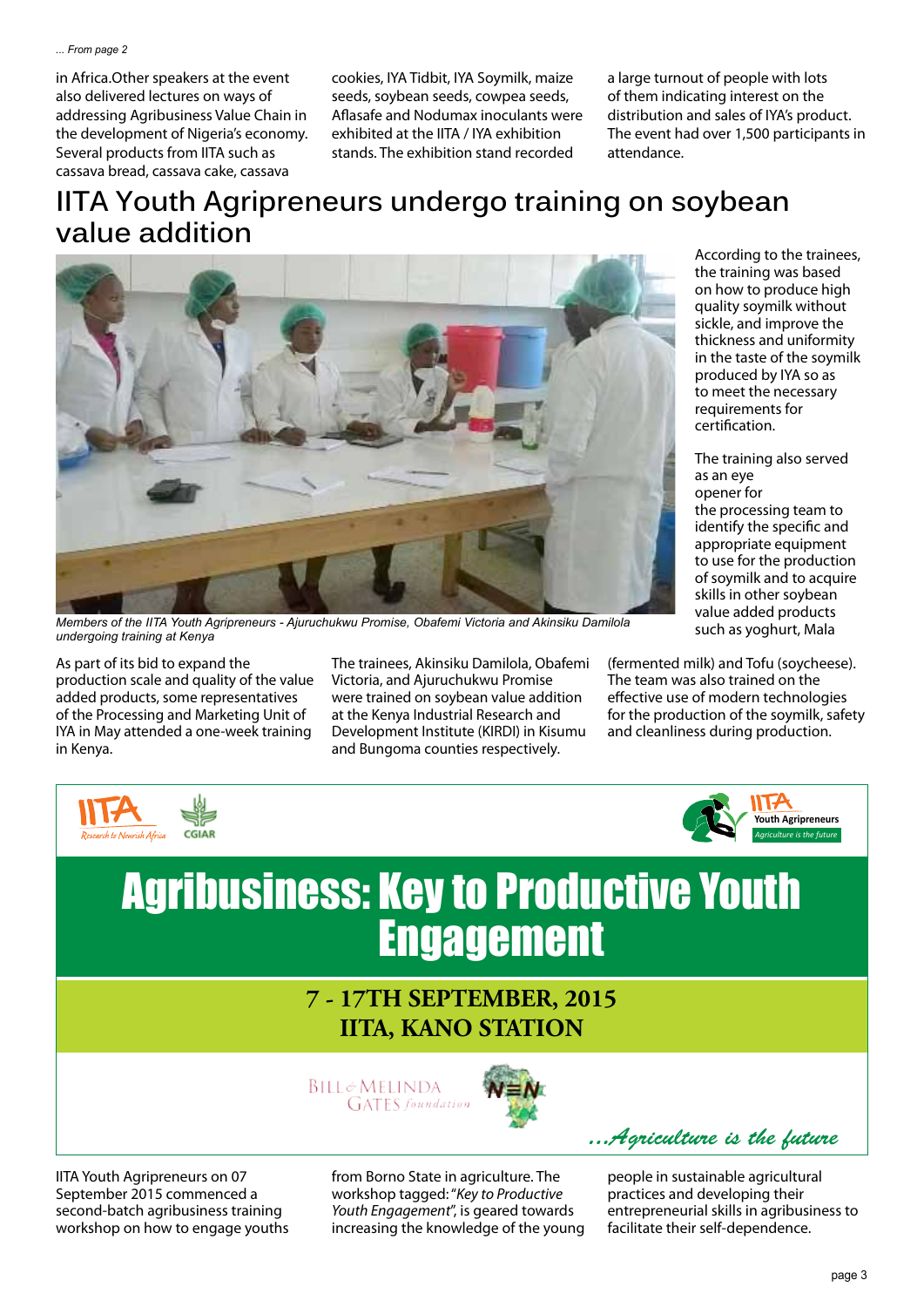in Africa.Other speakers at the event also delivered lectures on ways of addressing Agribusiness Value Chain in the development of Nigeria's economy. Several products from IITA such as cassava bread, cassava cake, cassava

cookies, IYA Tidbit, IYA Soymilk, maize seeds, soybean seeds, cowpea seeds, Aflasafe and Nodumax inoculants were exhibited at the IITA / IYA exhibition stands. The exhibition stand recorded

a large turnout of people with lots of them indicating interest on the distribution and sales of IYA's product. The event had over 1,500 participants in attendance.

# **IITA Youth Agripreneurs undergo training on soybean value addition**



*Members of the IITA Youth Agripreneurs - Ajuruchukwu Promise, Obafemi Victoria and Akinsiku Damilola undergoing training at Kenya*

As part of its bid to expand the production scale and quality of the value added products, some representatives of the Processing and Marketing Unit of IYA in May attended a one-week training in Kenya.

The trainees, Akinsiku Damilola, Obafemi Victoria, and Ajuruchukwu Promise were trained on soybean value addition at the Kenya Industrial Research and Development Institute (KIRDI) in Kisumu and Bungoma counties respectively.

According to the trainees, the training was based on how to produce high quality soymilk without sickle, and improve the thickness and uniformity in the taste of the soymilk produced by IYA so as to meet the necessary requirements for certification.

The training also served as an eye opener for the processing team to identify the specific and appropriate equipment to use for the production of soymilk and to acquire skills in other soybean value added products such as yoghurt, Mala

(fermented milk) and Tofu (soycheese). The team was also trained on the effective use of modern technologies for the production of the soymilk, safety and cleanliness during production.





# Agribusiness: Key to Productive Youth **Engagement**

## **IITA, KANO STATION 7 - 17TH SEPTEMBER, 2015**

**BILL&MELINDA GATES** foundation



*...Agriculture is the future*

IITA Youth Agripreneurs on 07 September 2015 commenced a second-batch agribusiness training workshop on how to engage youths from Borno State in agriculture. The workshop tagged: "*Key to Productive Youth Engagement*", is geared towards increasing the knowledge of the young

people in sustainable agricultural practices and developing their entrepreneurial skills in agribusiness to facilitate their self-dependence.